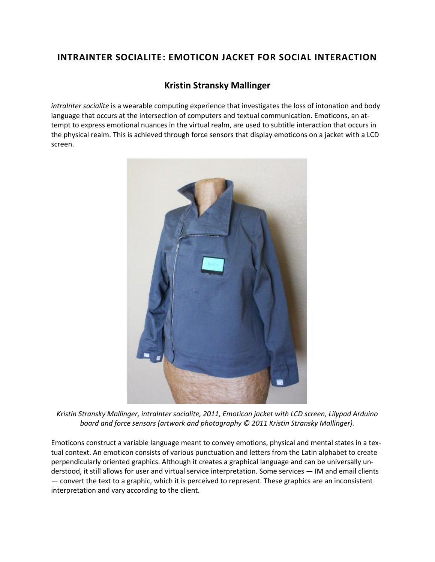## **INTRAINTER SOCIALITE: EMOTICON JACKET FOR SOCIAL INTERACTION**

## **[Kristin Stransky Mallinger](http://isea2011.sabanciuniv.edu/-254.html)**

*intraInter socialite* is a wearable computing experience that investigates the loss of intonation and body language that occurs at the intersection of computers and textual communication. Emoticons, an attempt to express emotional nuances in the virtual realm, are used to subtitle interaction that occurs in the physical realm. This is achieved through force sensors that display emoticons on a jacket with a LCD screen.



*Kristin Stransky Mallinger, intraInter socialite, 2011, Emoticon jacket with LCD screen, Lilypad Arduino board and force sensors (artwork and photography © 2011 Kristin Stransky Mallinger).*

Emoticons construct a variable language meant to convey emotions, physical and mental states in a textual context. An emoticon consists of various punctuation and letters from the Latin alphabet to create perpendicularly oriented graphics. Although it creates a graphical language and can be universally understood, it still allows for user and virtual service interpretation. Some services — IM and email clients — convert the text to a graphic, which it is perceived to represent. These graphics are an inconsistent interpretation and vary according to the client.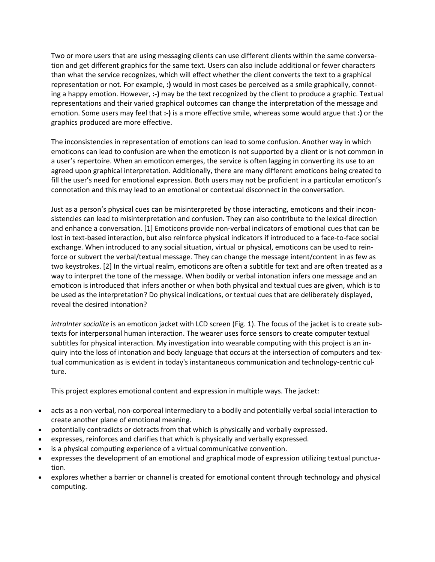Two or more users that are using messaging clients can use different clients within the same conversation and get different graphics for the same text. Users can also include additional or fewer characters than what the service recognizes, which will effect whether the client converts the text to a graphical representation or not. For example, **:)** would in most cases be perceived as a smile graphically, connoting a happy emotion. However, **:-)** may be the text recognized by the client to produce a graphic. Textual representations and their varied graphical outcomes can change the interpretation of the message and emotion. Some users may feel that **:-)** is a more effective smile, whereas some would argue that **:)** or the graphics produced are more effective.

The inconsistencies in representation of emotions can lead to some confusion. Another way in which emoticons can lead to confusion are when the emoticon is not supported by a client or is not common in a user's repertoire. When an emoticon emerges, the service is often lagging in converting its use to an agreed upon graphical interpretation. Additionally, there are many different emoticons being created to fill the user's need for emotional expression. Both users may not be proficient in a particular emoticon's connotation and this may lead to an emotional or contextual disconnect in the conversation.

Just as a person's physical cues can be misinterpreted by those interacting, emoticons and their inconsistencies can lead to misinterpretation and confusion. They can also contribute to the lexical direction and enhance a conversation. [1] Emoticons provide non-verbal indicators of emotional cues that can be lost in text-based interaction, but also reinforce physical indicators if introduced to a face-to-face social exchange. When introduced to any social situation, virtual or physical, emoticons can be used to reinforce or subvert the verbal/textual message. They can change the message intent/content in as few as two keystrokes. [2] In the virtual realm, emoticons are often a subtitle for text and are often treated as a way to interpret the tone of the message. When bodily or verbal intonation infers one message and an emoticon is introduced that infers another or when both physical and textual cues are given, which is to be used as the interpretation? Do physical indications, or textual cues that are deliberately displayed, reveal the desired intonation?

*intraInter socialite* is an emoticon jacket with LCD screen (Fig. 1). The focus of the jacket is to create subtexts for interpersonal human interaction. The wearer uses force sensors to create computer textual subtitles for physical interaction. My investigation into wearable computing with this project is an inquiry into the loss of intonation and body language that occurs at the intersection of computers and textual communication as is evident in today's instantaneous communication and technology-centric culture.

This project explores emotional content and expression in multiple ways. The jacket:

- acts as a non-verbal, non-corporeal intermediary to a bodily and potentially verbal social interaction to create another plane of emotional meaning.
- potentially contradicts or detracts from that which is physically and verbally expressed.
- expresses, reinforces and clarifies that which is physically and verbally expressed.
- is a physical computing experience of a virtual communicative convention.
- expresses the development of an emotional and graphical mode of expression utilizing textual punctuation.
- explores whether a barrier or channel is created for emotional content through technology and physical computing.